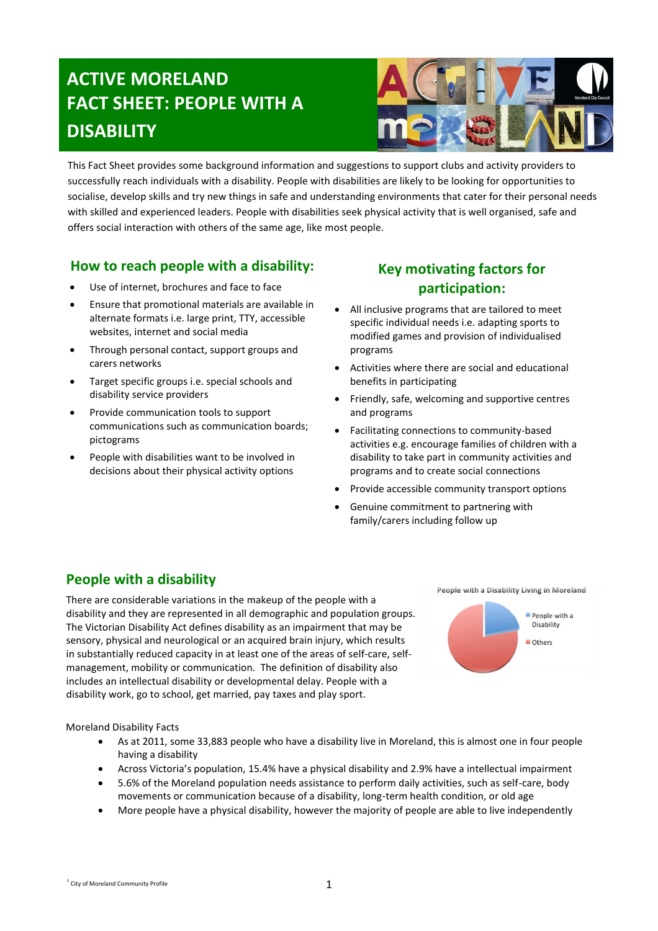# **ACTIVE MORELAND FACT SHEET: PEOPLE WITH A DISABILITY**



This Fact Sheet provides some background information and suggestions to support clubs and activity providers to successfully reach individuals with a disability. People with disabilities are likely to be looking for opportunities to socialise, develop skills and try new things in safe and understanding environments that cater for their personal needs with skilled and experienced leaders. People with disabilities seek physical activity that is well organised, safe and offers social interaction with others of the same age, like most people.

### **How to reach people with a disability:**

- Use of internet, brochures and face to face
- Ensure that promotional materials are available in alternate formats i.e. large print, TTY, accessible websites, internet and social media
- Through personal contact, support groups and carers networks
- Target specific groups i.e. special schools and disability service providers
- Provide communication tools to support communications such as communication boards; pictograms
- People with disabilities want to be involved in decisions about their physical activity options

# **Key motivating factors for participation:**

- All inclusive programs that are tailored to meet specific individual needs i.e. adapting sports to modified games and provision of individualised programs
- Activities where there are social and educational benefits in participating
- Friendly, safe, welcoming and supportive centres and programs
- Facilitating connections to community-based activities e.g. encourage families of children with a disability to take part in community activities and programs and to create social connections
- Provide accessible community transport options
- Genuine commitment to partnering with family/carers including follow up

# **People with a disability**

There are considerable variations in the makeup of the people with a disability and they are represented in all demographic and population groups. The Victorian Disability Act defines disability as an impairment that may be sensory, physical and neurological or an acquired brain injury, which results in substantially reduced capacity in at least one of the areas of self-care, selfmanagement, mobility or communication. The definition of disability also includes an intellectual disability or developmental delay. People with a disability work, go to school, get married, pay taxes and play sport.





Moreland Disability Facts

- As at 2011, some 33,883 people who have a disability live in Moreland, this is almost one in four people having a disability
- Across Victoria's population, 15.4% have a physical disability and 2.9% have a intellectual impairment
- 5.6% of the Moreland population needs assistance to perform daily activities, such as self-care, body movements or communication because of a disability, long-term health condition, or old age
- More people have a physical disability, however the majority of people are able to live independently